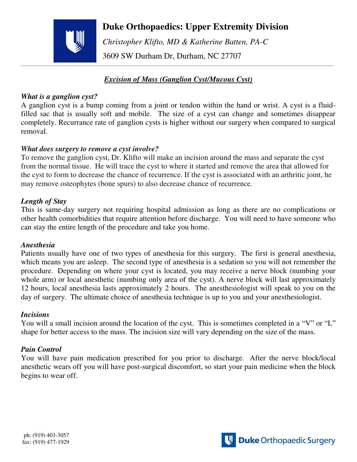

## **Duke Orthopaedics: Upper Extremity Division**

 *Christopher Klifto, MD & Katherine Batten, PA-C*  3609 SW Durham Dr, Durham, NC 27707

## *Excision of Mass (Ganglion Cyst/Mucous Cyst)*

#### *What is a ganglion cyst?*

A ganglion cyst is a bump coming from a joint or tendon within the hand or wrist. A cyst is a fluidfilled sac that is usually soft and mobile. The size of a cyst can change and sometimes disappear completely. Recurrance rate of ganglion cysts is higher without our surgery when compared to surgical removal.

#### *What does surgery to remove a cyst involve?*

To remove the ganglion cyst, Dr. Klifto will make an incision around the mass and separate the cyst from the normal tissue. He will trace the cyst to where it started and remove the area that allowed for the cyst to form to decrease the chance of recurrence. If the cyst is associated with an arthritic joint, he may remove osteophytes (bone spurs) to also decrease chance of recurrence.

## *Length of Stay*

This is same-day surgery not requiring hospital admission as long as there are no complications or other health comorbidities that require attention before discharge. You will need to have someone who can stay the entire length of the procedure and take you home.

#### *Anesthesia*

Patients usually have one of two types of anesthesia for this surgery. The first is general anesthesia, which means you are asleep. The second type of anesthesia is a sedation so you will not remember the procedure. Depending on where your cyst is located, you may receive a nerve block (numbing your whole arm) or local anesthetic (numbing only area of the cyst). A nerve block will last approximately 12 hours, local anesthesia lasts approximately 2 hours. The anesthesiologist will speak to you on the day of surgery. The ultimate choice of anesthesia technique is up to you and your anesthesiologist.

#### *Incisions*

You will a small incision around the location of the cyst. This is sometimes completed in a "V" or "L" shape for better access to the mass. The incision size will vary depending on the size of the mass.

## *Pain Control*

You will have pain medication prescribed for you prior to discharge. After the nerve block/local anesthetic wears off you will have post-surgical discomfort, so start your pain medicine when the block begins to wear off.